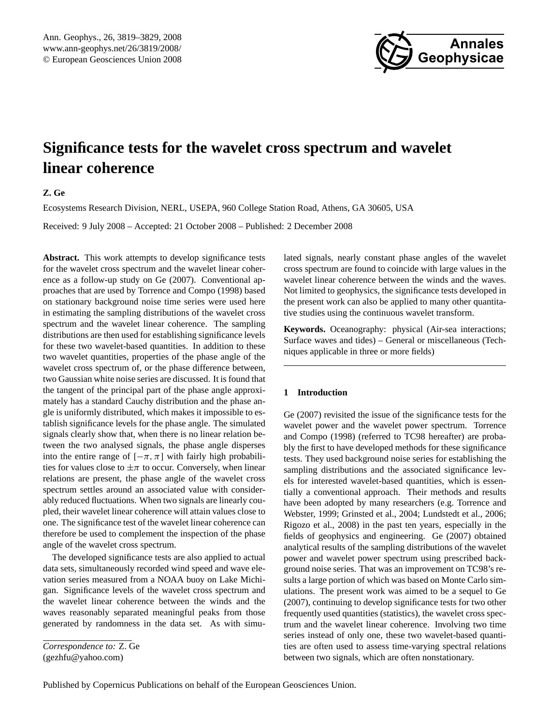

# <span id="page-0-0"></span>**Significance tests for the wavelet cross spectrum and wavelet linear coherence**

## **Z. Ge**

Ecosystems Research Division, NERL, USEPA, 960 College Station Road, Athens, GA 30605, USA

Received: 9 July 2008 – Accepted: 21 October 2008 – Published: 2 December 2008

**Abstract.** This work attempts to develop significance tests for the wavelet cross spectrum and the wavelet linear coherence as a follow-up study on Ge (2007). Conventional approaches that are used by Torrence and Compo (1998) based on stationary background noise time series were used here in estimating the sampling distributions of the wavelet cross spectrum and the wavelet linear coherence. The sampling distributions are then used for establishing significance levels for these two wavelet-based quantities. In addition to these two wavelet quantities, properties of the phase angle of the wavelet cross spectrum of, or the phase difference between, two Gaussian white noise series are discussed. It is found that the tangent of the principal part of the phase angle approximately has a standard Cauchy distribution and the phase angle is uniformly distributed, which makes it impossible to establish significance levels for the phase angle. The simulated signals clearly show that, when there is no linear relation between the two analysed signals, the phase angle disperses into the entire range of  $[-\pi, \pi]$  with fairly high probabilities for values close to  $\pm \pi$  to occur. Conversely, when linear relations are present, the phase angle of the wavelet cross spectrum settles around an associated value with considerably reduced fluctuations. When two signals are linearly coupled, their wavelet linear coherence will attain values close to one. The significance test of the wavelet linear coherence can therefore be used to complement the inspection of the phase angle of the wavelet cross spectrum.

The developed significance tests are also applied to actual data sets, simultaneously recorded wind speed and wave elevation series measured from a NOAA buoy on Lake Michigan. Significance levels of the wavelet cross spectrum and the wavelet linear coherence between the winds and the waves reasonably separated meaningful peaks from those generated by randomness in the data set. As with simu-

*Correspondence to:* Z. Ge (gezhfu@yahoo.com)

lated signals, nearly constant phase angles of the wavelet cross spectrum are found to coincide with large values in the wavelet linear coherence between the winds and the waves. Not limited to geophysics, the significance tests developed in the present work can also be applied to many other quantitative studies using the continuous wavelet transform.

**Keywords.** Oceanography: physical (Air-sea interactions; Surface waves and tides) – General or miscellaneous (Techniques applicable in three or more fields)

## <span id="page-0-1"></span>**1 Introduction**

Ge (2007) revisited the issue of the significance tests for the wavelet power and the wavelet power spectrum. Torrence and Compo (1998) (referred to TC98 hereafter) are probably the first to have developed methods for these significance tests. They used background noise series for establishing the sampling distributions and the associated significance levels for interested wavelet-based quantities, which is essentially a conventional approach. Their methods and results have been adopted by many researchers (e.g. Torrence and Webster, 1999; Grinsted et al., 2004; Lundstedt et al., 2006; Rigozo et al., 2008) in the past ten years, especially in the fields of geophysics and engineering. Ge (2007) obtained analytical results of the sampling distributions of the wavelet power and wavelet power spectrum using prescribed background noise series. That was an improvement on TC98's results a large portion of which was based on Monte Carlo simulations. The present work was aimed to be a sequel to Ge (2007), continuing to develop significance tests for two other frequently used quantities (statistics), the wavelet cross spectrum and the wavelet linear coherence. Involving two time series instead of only one, these two wavelet-based quantities are often used to assess time-varying spectral relations between two signals, which are often nonstationary.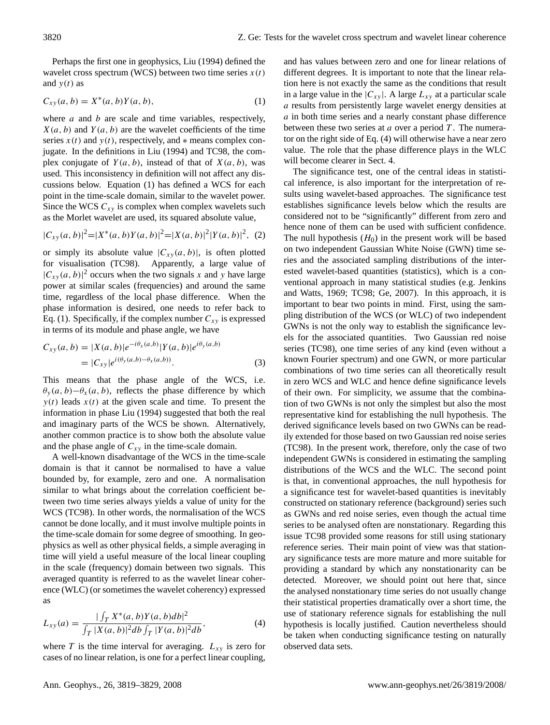Perhaps the first one in geophysics, Liu (1994) defined the wavelet cross spectrum (WCS) between two time series  $x(t)$ and  $y(t)$  as

<span id="page-1-0"></span>
$$
C_{xy}(a, b) = X^*(a, b)Y(a, b),
$$
 (1)

where  $a$  and  $b$  are scale and time variables, respectively,  $X(a, b)$  and  $Y(a, b)$  are the wavelet coefficients of the time series  $x(t)$  and  $y(t)$ , respectively, and  $*$  means complex conjugate. In the definitions in Liu (1994) and TC98, the complex conjugate of  $Y(a, b)$ , instead of that of  $X(a, b)$ , was used. This inconsistency in definition will not affect any discussions below. Equation [\(1\)](#page-1-0) has defined a WCS for each point in the time-scale domain, similar to the wavelet power. Since the WCS  $C_{xy}$  is complex when complex wavelets such as the Morlet wavelet are used, its squared absolute value,

<span id="page-1-2"></span>
$$
|C_{xy}(a,b)|^2 = |X^*(a,b)Y(a,b)|^2 = |X(a,b)|^2 |Y(a,b)|^2, (2)
$$

or simply its absolute value  $|C_{xy}(a, b)|$ , is often plotted for visualisation (TC98). Apparently, a large value of  $|C_{xy}(a, b)|^2$  occurs when the two signals x and y have large power at similar scales (frequencies) and around the same time, regardless of the local phase difference. When the phase information is desired, one needs to refer back to Eq. [\(1\)](#page-1-0). Specifically, if the complex number  $C_{xy}$  is expressed in terms of its module and phase angle, we have

<span id="page-1-3"></span>
$$
C_{xy}(a, b) = |X(a, b)|e^{-i\theta_x(a, b)}|Y(a, b)|e^{i\theta_y(a, b)}
$$
  
=  $|C_{xy}|e^{i(\theta_y(a, b) - \theta_x(a, b))}$ . (3)

This means that the phase angle of the WCS, i.e.  $\theta_{\rm v}(a, b) - \theta_{\rm x}(a, b)$ , reflects the phase difference by which  $y(t)$  leads  $x(t)$  at the given scale and time. To present the information in phase Liu (1994) suggested that both the real and imaginary parts of the WCS be shown. Alternatively, another common practice is to show both the absolute value and the phase angle of  $C_{xy}$  in the time-scale domain.

A well-known disadvantage of the WCS in the time-scale domain is that it cannot be normalised to have a value bounded by, for example, zero and one. A normalisation similar to what brings about the correlation coefficient between two time series always yields a value of unity for the WCS (TC98). In other words, the normalisation of the WCS cannot be done locally, and it must involve multiple points in the time-scale domain for some degree of smoothing. In geophysics as well as other physical fields, a simple averaging in time will yield a useful measure of the local linear coupling in the scale (frequency) domain between two signals. This averaged quantity is referred to as the wavelet linear coherence (WLC) (or sometimes the wavelet coherency) expressed as

<span id="page-1-1"></span>
$$
L_{xy}(a) = \frac{|\int_T X^*(a, b)Y(a, b)db|^2}{\int_T |X(a, b)|^2 db \int_T |Y(a, b)|^2 db},
$$
\n(4)

where T is the time interval for averaging.  $L_{xy}$  is zero for cases of no linear relation, is one for a perfect linear coupling,

and has values between zero and one for linear relations of different degrees. It is important to note that the linear relation here is not exactly the same as the conditions that result in a large value in the  $|C_{xy}|$ . A large  $L_{xy}$  at a particular scale a results from persistently large wavelet energy densities at a in both time series and a nearly constant phase difference between these two series at  $a$  over a period  $T$ . The numerator on the right side of Eq. [\(4\)](#page-1-1) will otherwise have a near zero value. The role that the phase difference plays in the WLC will become clearer in Sect. [4.](#page-4-0)

The significance test, one of the central ideas in statistical inference, is also important for the interpretation of results using wavelet-based approaches. The significance test establishes significance levels below which the results are considered not to be "significantly" different from zero and hence none of them can be used with sufficient confidence. The null hypothesis  $(H_0)$  in the present work will be based on two independent Gaussian White Noise (GWN) time series and the associated sampling distributions of the interested wavelet-based quantities (statistics), which is a conventional approach in many statistical studies (e.g. Jenkins and Watts, 1969; TC98; Ge, 2007). In this approach, it is important to bear two points in mind. First, using the sampling distribution of the WCS (or WLC) of two independent GWNs is not the only way to establish the significance levels for the associated quantities. Two Gaussian red noise series (TC98), one time series of any kind (even without a known Fourier spectrum) and one GWN, or more particular combinations of two time series can all theoretically result in zero WCS and WLC and hence define significance levels of their own. For simplicity, we assume that the combination of two GWNs is not only the simplest but also the most representative kind for establishing the null hypothesis. The derived significance levels based on two GWNs can be readily extended for those based on two Gaussian red noise series (TC98). In the present work, therefore, only the case of two independent GWNs is considered in estimating the sampling distributions of the WCS and the WLC. The second point is that, in conventional approaches, the null hypothesis for a significance test for wavelet-based quantities is inevitably constructed on stationary reference (background) series such as GWNs and red noise series, even though the actual time series to be analysed often are nonstationary. Regarding this issue TC98 provided some reasons for still using stationary reference series. Their main point of view was that stationary significance tests are more mature and more suitable for providing a standard by which any nonstationarity can be detected. Moreover, we should point out here that, since the analysed nonstationary time series do not usually change their statistical properties dramatically over a short time, the use of stationary reference signals for establishing the null hypothesis is locally justified. Caution nevertheless should be taken when conducting significance testing on naturally observed data sets.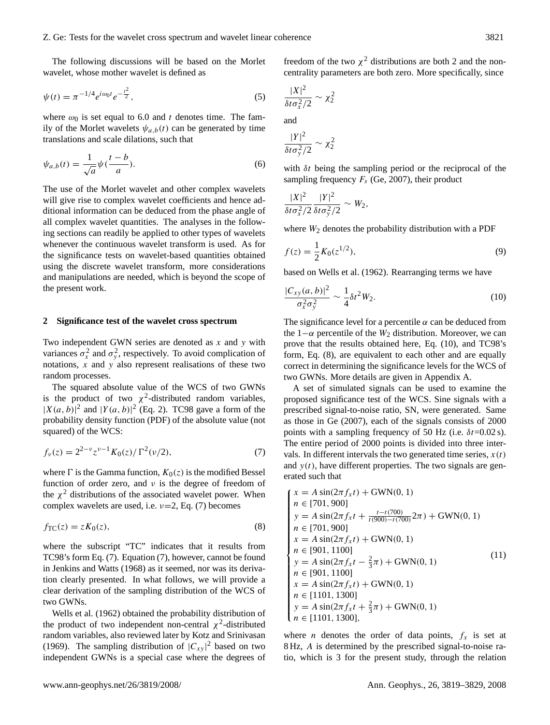The following discussions will be based on the Morlet wavelet, whose mother wavelet is defined as

$$
\psi(t) = \pi^{-1/4} e^{i\omega_0 t} e^{-\frac{t^2}{2}},\tag{5}
$$

where  $\omega_0$  is set equal to 6.0 and t denotes time. The family of the Morlet wavelets  $\psi_{a,b}(t)$  can be generated by time translations and scale dilations, such that

$$
\psi_{a,b}(t) = \frac{1}{\sqrt{a}} \psi\left(\frac{t-b}{a}\right). \tag{6}
$$

The use of the Morlet wavelet and other complex wavelets will give rise to complex wavelet coefficients and hence additional information can be deduced from the phase angle of all complex wavelet quantities. The analyses in the following sections can readily be applied to other types of wavelets whenever the continuous wavelet transform is used. As for the significance tests on wavelet-based quantities obtained using the discrete wavelet transform, more considerations and manipulations are needed, which is beyond the scope of the present work.

#### <span id="page-2-4"></span>**2 Significance test of the wavelet cross spectrum**

Two independent GWN series are denoted as  $x$  and  $y$  with variances  $\sigma_x^2$  and  $\sigma_y^2$ , respectively. To avoid complication of notations,  $x$  and  $y$  also represent realisations of these two random processes.

The squared absolute value of the WCS of two GWNs is the product of two  $\chi^2$ -distributed random variables,  $|X(a, b)|^2$  and  $|Y(a, b)|^2$  (Eq. [2\)](#page-1-2). TC98 gave a form of the probability density function (PDF) of the absolute value (not squared) of the WCS:

<span id="page-2-0"></span>
$$
f_{\nu}(z) = 2^{2-\nu} z^{\nu-1} K_0(z) / \Gamma^2(\nu/2), \tag{7}
$$

where  $\Gamma$  is the Gamma function,  $K_0(z)$  is the modified Bessel function of order zero, and  $\nu$  is the degree of freedom of the  $\chi^2$  distributions of the associated wavelet power. When complex wavelets are used, i.e.  $\nu=2$ , Eq. [\(7\)](#page-2-0) becomes

<span id="page-2-2"></span>
$$
f_{\rm TC}(z) = z K_0(z),\tag{8}
$$

where the subscript "TC" indicates that it results from TC98's form Eq. [\(7\)](#page-2-0). Equation [\(7\)](#page-2-0), however, cannot be found in Jenkins and Watts (1968) as it seemed, nor was its derivation clearly presented. In what follows, we will provide a clear derivation of the sampling distribution of the WCS of two GWNs.

Wells et al. (1962) obtained the probability distribution of the product of two independent non-central  $\chi^2$ -distributed random variables, also reviewed later by Kotz and Srinivasan (1969). The sampling distribution of  $|C_{xy}|^2$  based on two independent GWNs is a special case where the degrees of

freedom of the two  $\chi^2$  distributions are both 2 and the noncentrality parameters are both zero. More specifically, since

$$
\frac{|X|^2}{\delta t \sigma_x^2/2} \sim \chi_2^2
$$

and

$$
\frac{|Y|^2}{\delta t \sigma_y^2/2} \sim \chi_2^2
$$

with  $\delta t$  being the sampling period or the reciprocal of the sampling frequency  $F_s$  (Ge, 2007), their product

$$
\frac{|X|^2}{\delta t \sigma_x^2/2} \frac{|Y|^2}{\delta t \sigma_y^2/2} \sim W_2,
$$

where  $W_2$  denotes the probability distribution with a PDF

<span id="page-2-5"></span>
$$
f(z) = \frac{1}{2} K_0(z^{1/2}),
$$
\n(9)

based on Wells et al. (1962). Rearranging terms we have

<span id="page-2-1"></span>
$$
\frac{|C_{xy}(a,b)|^2}{\sigma_x^2 \sigma_y^2} \sim \frac{1}{4} \delta t^2 W_2.
$$
 (10)

The significance level for a percentile  $\alpha$  can be deduced from the 1 $-\alpha$  percentile of the W<sub>2</sub> distribution. Moreover, we can prove that the results obtained here, Eq. [\(10\)](#page-2-1), and TC98's form, Eq. [\(8\)](#page-2-2), are equivalent to each other and are equally correct in determining the significance levels for the WCS of two GWNs. More details are given in Appendix [A.](#page-0-1)

A set of simulated signals can be used to examine the proposed significance test of the WCS. Sine signals with a prescribed signal-to-noise ratio, SN, were generated. Same as those in Ge (2007), each of the signals consists of 2000 points with a sampling frequency of 50 Hz (i.e.  $\delta t = 0.02$  s). The entire period of 2000 points is divided into three intervals. In different intervals the two generated time series,  $x(t)$ and  $y(t)$ , have different properties. The two signals are generated such that

<span id="page-2-3"></span>
$$
\begin{cases}\nx = A \sin(2\pi f_x t) + \text{GWN}(0, 1) \\
n \in [701, 900] \\
y = A \sin(2\pi f_x t + \frac{t - t(700)}{t(900) - t(700)} 2\pi) + \text{GWN}(0, 1) \\
n \in [701, 900] \\
x = A \sin(2\pi f_x t) + \text{GWN}(0, 1) \\
n \in [901, 1100] \\
y = A \sin(2\pi f_x t - \frac{2}{3}\pi) + \text{GWN}(0, 1) \\
n \in [901, 1100] \\
x = A \sin(2\pi f_x t) + \text{GWN}(0, 1) \\
n \in [1101, 1300] \\
y = A \sin(2\pi f_x t + \frac{2}{3}\pi) + \text{GWN}(0, 1) \\
n \in [1101, 1300] \\
n \in [1101, 1300],\n\end{cases}
$$
\n(11)

where *n* denotes the order of data points,  $f_x$  is set at 8 Hz, A is determined by the prescribed signal-to-noise ratio, which is 3 for the present study, through the relation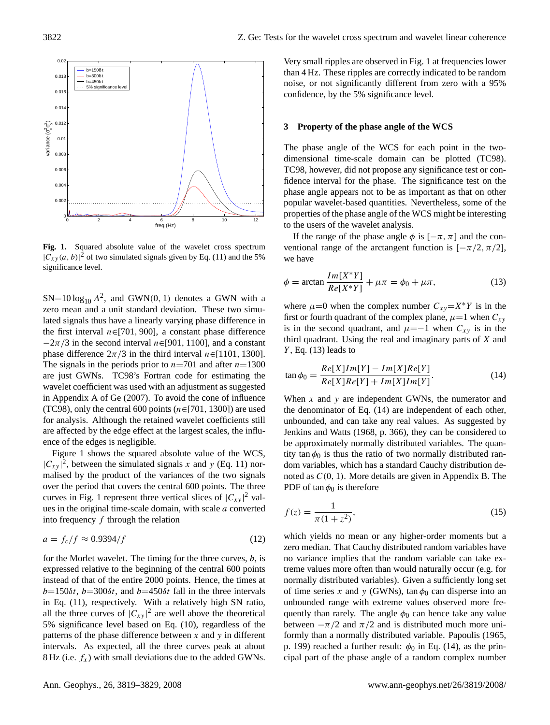

<span id="page-3-0"></span> $|C_{xy}(a, b)|^2$  of two simulated signals given by Eq. [\(11\)](#page-2-3) and the 5% **Fig. 1.** Squared absolute value of the wavelet cross spectrum significance level.

lated signals thus have a linearly varying phase difference in  $SN=10 \log_{10} A^2$ , and GWN(0, 1) denotes a GWN with a are just GWNs. TC98's Fortran code for estimating the The signals in the periods prior to  $n=701$  and after  $n=1300$ phase difference  $2\pi/3$  in the third interval  $n \in [1101, 1300]$ . the first interval  $n \in [701, 900]$ , a constant phase difference th<br>pl<br>ar are affected by the edge effect at the largest scales, the influ-(TC98), only the central 600 points ( $n \in [701, 1300]$ ) are used wavelet coefficient was used with an adjustment as suggested ence of the edges is negligible. zero mean and a unit standard deviation. These two simu- $-2\pi/3$  in the second interval  $n \in [901, 1100]$ , and a constant in Appendix A of Ge (2007). To avoid the cone of influence for analysis. Although the retained wavelet coefficients still

 $|C_{xy}|^2$ , between the simulated signals x and y (Eq. [11\)](#page-2-3) nor-curves in Fig. [1](#page-3-0) represent three vertical slices of  $|C_{xy}|^2$  val-Figure [1](#page-3-0) shows the squared absolute value of the WCS, malised by the product of the variances of the two signals over the period that covers the central 600 points. The three ues in the original time-scale domain, with scale a converted into frequency  $f$  through the relation

<span id="page-3-4"></span>
$$
a = f_c/f \approx 0.9394/f \tag{12}
$$

for the Morlet wavelet. The timing for the three curves,  $b$ , is expressed relative to the beginning of the central 600 points instead of that of the entire 2000 points. Hence, the times at  $b=150\delta t$ ,  $b=300\delta t$ , and  $b=450\delta t$  fall in the three intervals in Eq. [\(11\)](#page-2-3), respectively. With a relatively high SN ratio, all the three curves of  $|C_{xy}|^2$  are well above the theoretical 5% significance level based on Eq. [\(10\)](#page-2-1), regardless of the patterns of the phase difference between  $x$  and  $y$  in different intervals. As expected, all the three curves peak at about 8 Hz (i.e.  $f_x$ ) with small deviations due to the added GWNs.

Very small ripples are observed in Fig. [1](#page-3-0) at frequencies lower than 4 Hz. These ripples are correctly indicated to be random noise, or not significantly different from zero with a 95% confidence, by the 5% significance level.

#### <span id="page-3-3"></span>**3 Property of the phase angle of the WCS**

The phase angle of the WCS for each point in the twodimensional time-scale domain can be plotted (TC98). TC98, however, did not propose any significance test or confidence interval for the phase. The significance test on the phase angle appears not to be as important as that on other popular wavelet-based quantities. Nevertheless, some of the properties of the phase angle of the WCS might be interesting to the users of the wavelet analysis.

If the range of the phase angle  $\phi$  is  $[-\pi, \pi]$  and the conventional range of the arctangent function is  $[-\pi/2, \pi/2]$ , we have

<span id="page-3-1"></span>
$$
\phi = \arctan \frac{Im[X^*Y]}{Re[X^*Y]} + \mu \pi = \phi_0 + \mu \pi,\tag{13}
$$

where  $\mu=0$  when the complex number  $C_{xy}=X^*Y$  is in the first or fourth quadrant of the complex plane,  $\mu=1$  when  $C_{xy}$ is in the second quadrant, and  $\mu = -1$  when  $C_{xy}$  is in the third quadrant. Using the real and imaginary parts of  $X$  and  $Y$ , Eq. [\(13\)](#page-3-1) leads to

<span id="page-3-2"></span>
$$
\tan \phi_0 = \frac{Re[X]Im[Y] - Im[X]Re[Y]}{Re[X]Re[Y] + Im[X]Im[Y]}.
$$
\n(14)

When  $x$  and  $y$  are independent GWNs, the numerator and the denominator of Eq. [\(14\)](#page-3-2) are independent of each other, unbounded, and can take any real values. As suggested by Jenkins and Watts (1968, p. 366), they can be considered to be approximately normally distributed variables. The quantity tan  $\phi_0$  is thus the ratio of two normally distributed random variables, which has a standard Cauchy distribution denoted as  $C(0, 1)$ . More details are given in Appendix [B.](#page-2-4) The PDF of tan  $\phi_0$  is therefore

$$
f(z) = \frac{1}{\pi(1 + z^2)},
$$
\n(15)

which yields no mean or any higher-order moments but a zero median. That Cauchy distributed random variables have no variance implies that the random variable can take extreme values more often than would naturally occur (e.g. for normally distributed variables). Given a sufficiently long set of time series x and y (GWNs), tan  $\phi_0$  can disperse into an unbounded range with extreme values observed more frequently than rarely. The angle  $\phi_0$  can hence take any value between  $-\pi/2$  and  $\pi/2$  and is distributed much more uniformly than a normally distributed variable. Papoulis (1965, p. 199) reached a further result:  $\phi_0$  in Eq. [\(14\)](#page-3-2), as the principal part of the phase angle of a random complex number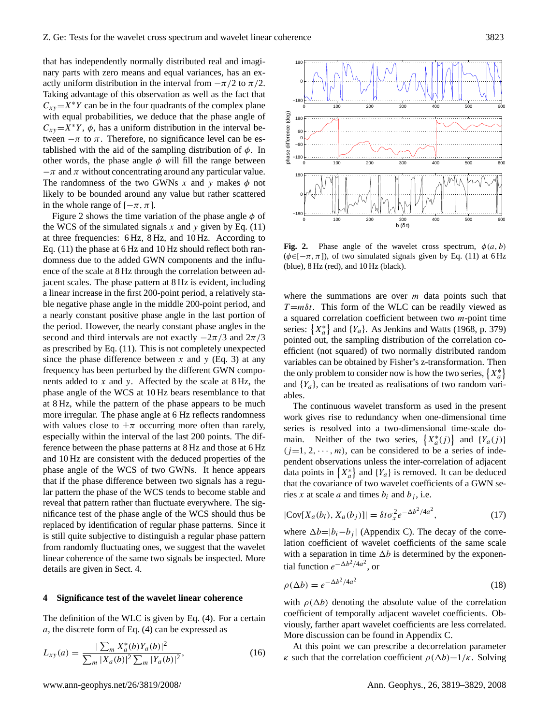that has independently normally distributed real and imaginary parts with zero means and equal variances, has an exactly uniform distribution in the interval from  $-\pi/2$  to  $\pi/2$ . Taking advantage of this observation as well as the fact that  $C_{xy} = X^*Y$  can be in the four quadrants of the complex plane with equal probabilities, we deduce that the phase angle of  $C_{xy} = X^*Y$ ,  $\phi$ , has a uniform distribution in the interval between  $-\pi$  to  $\pi$ . Therefore, no significance level can be established with the aid of the sampling distribution of  $\phi$ . In other words, the phase angle  $\phi$  will fill the range between  $-\pi$  and  $\pi$  without concentrating around any particular value. The randomness of the two GWNs x and y makes  $\phi$  not likely to be bounded around any value but rather scattered in the whole range of  $[-\pi, \pi]$ .

Figure [2](#page-4-1) shows the time variation of the phase angle  $\phi$  of the WCS of the simulated signals  $x$  and  $y$  given by Eq. [\(11\)](#page-2-3) at three frequencies: 6 Hz, 8 Hz, and 10 Hz. According to Eq. [\(11\)](#page-2-3) the phase at 6 Hz and 10 Hz should reflect both randomness due to the added GWN components and the influence of the scale at 8 Hz through the correlation between adjacent scales. The phase pattern at 8 Hz is evident, including a linear increase in the first 200-point period, a relatively stable negative phase angle in the middle 200-point period, and a nearly constant positive phase angle in the last portion of the period. However, the nearly constant phase angles in the second and third intervals are not exactly  $-2\pi/3$  and  $2\pi/3$ as prescribed by Eq. [\(11\)](#page-2-3). This is not completely unexpected since the phase difference between x and y (Eq. [3\)](#page-1-3) at any frequency has been perturbed by the different GWN components added to  $x$  and  $y$ . Affected by the scale at 8 Hz, the phase angle of the WCS at 10 Hz bears resemblance to that at 8 Hz, while the pattern of the phase appears to be much more irregular. The phase angle at 6 Hz reflects randomness with values close to  $\pm \pi$  occurring more often than rarely, especially within the interval of the last 200 points. The difference between the phase patterns at 8 Hz and those at 6 Hz and 10 Hz are consistent with the deduced properties of the phase angle of the WCS of two GWNs. It hence appears that if the phase difference between two signals has a regular pattern the phase of the WCS tends to become stable and reveal that pattern rather than fluctuate everywhere. The significance test of the phase angle of the WCS should thus be replaced by identification of regular phase patterns. Since it is still quite subjective to distinguish a regular phase pattern from randomly fluctuating ones, we suggest that the wavelet linear coherence of the same two signals be inspected. More details are given in Sect. [4.](#page-4-0)

#### <span id="page-4-0"></span>**4 Significance test of the wavelet linear coherence**

The definition of the WLC is given by Eq. [\(4\)](#page-1-1). For a certain  $a$ , the discrete form of Eq. [\(4\)](#page-1-1) can be expressed as

$$
L_{xy}(a) = \frac{|\sum_{m} X_a^*(b)Y_a(b)|^2}{\sum_{m} |X_a(b)|^2 \sum_{m} |Y_a(b)|^2},\tag{16}
$$



<span id="page-4-1"></span> $(\phi \in [-\pi, \pi])$ , of two simulated signals given by Eq. [\(11\)](#page-2-3) at 6 Hz **Fig. 2.** Phase angle of the wavelet cross spectrum,  $\phi(a, b)$ (blue), 8 Hz (red), and 10 Hz (black).

where the summations are over  $m$  data points such that  $T = m\delta t$ . This form of the WLC can be readily viewed as a squared correlation coefficient between two  $m$ -point time series:  $\{X_a^*\}$  and  $\{Y_a\}$ . As Jenkins and Watts (1968, p. 379) pointed out, the sampling distribution of the correlation coefficient (not squared) of two normally distributed random variables can be obtained by Fisher's z-transformation. Then the only problem to consider now is how the two series,  $\{X^*_a\}$ and  ${Y_a}$ , can be treated as realisations of two random variables.

The continuous wavelet transform as used in the present work gives rise to redundancy when one-dimensional time series is resolved into a two-dimensional time-scale domain. Neither of the two series,  $\{X_a^*(j)\}\$ and  $\{Y_a(j)\}\$  $(j=1, 2, \dots, m)$ , can be considered to be a series of independent observations unless the inter-correlation of adjacent data points in  $\{X_a^*\}$  and  $\{Y_a\}$  is removed. It can be deduced that the covariance of two wavelet coefficients of a GWN series x at scale a and times  $b_i$  and  $b_j$ , i.e.

<span id="page-4-3"></span>
$$
|\text{Cov}[X_a(b_i), X_a(b_j)]| = \delta t \sigma_x^2 e^{-\Delta b^2 / 4a^2},\tag{17}
$$

where  $\Delta b=|b_i-b_j|$  (Appendix [C\)](#page-3-3). The decay of the correlation coefficient of wavelet coefficients of the same scale with a separation in time  $\Delta b$  is determined by the exponential function  $e^{-\Delta b^2/4a^2}$ , or

<span id="page-4-2"></span>
$$
\rho(\Delta b) = e^{-\Delta b^2 / 4a^2} \tag{18}
$$

with  $\rho(\Delta b)$  denoting the absolute value of the correlation coefficient of temporally adjacent wavelet coefficients. Obviously, farther apart wavelet coefficients are less correlated. More discussion can be found in Appendix [C.](#page-3-3)

At this point we can prescribe a decorrelation parameter κ such that the correlation coefficient  $\rho(\Delta b)=1/\kappa$ . Solving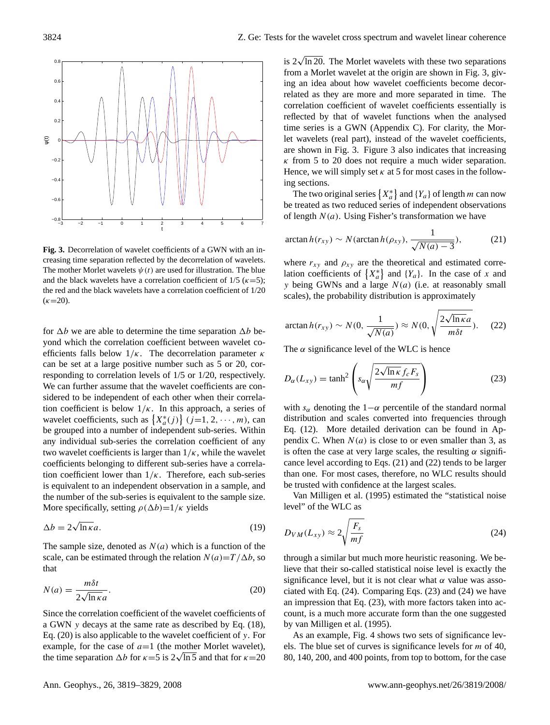

<span id="page-5-1"></span>creasing time separation reflected by the decorrelation of wavelets. 0.9 the red and the black wavelets have a correlation coefficient of 1/20 and the black wavelets have a correlation coefficient of  $1/5$  ( $\kappa$ =5); **Fig. 3.** Decorrelation of wavelet coefficients of a GWN with an in-The mother Morlet wavelets  $\psi(t)$  are used for illustration. The blue  $(\kappa=20)$ .

individual sub-series the correlation coefficient of any wavelet coefficients, such as  $\{X_a^*(j)\}$  ( $j=1, 2, \dots, m$ ), can tion coefficient is below  $1/\kappa$ . In this approach, a series of We can further assume that the wavelet coefficients are conresponding to correlation levels of  $1/5$  or  $1/20$ , respectively. efficients falls below  $1/\kappa$ . The decorrelation parameter  $\kappa$ yond which the correlation coefficient between wavelet cofor  $\Delta b$  we are able to determine the time separation  $\Delta b$  beany individual sub-series the correlation coefficient of any can be set at a large positive number such as 5 or 20, cortion coefficient lower than  $1/\kappa$ . Therefore, each sub-series the number of the sub-series is equivalent to the sample size. sidered to be independent of each other when their correlabe grouped into a number of independent sub-series. Within two wavelet coefficients is larger than  $1/\kappa$ , while the wavelet coefficients belonging to different sub-series have a correlais equivalent to an independent observation in a sample, and More specifically, setting  $\rho(\Delta b)=1/\kappa$  yields

$$
\Delta b = 2\sqrt{\ln \kappa} a. \tag{19}
$$

The sample size, denoted as  $N(a)$  which is a function of the scale, can be estimated through the relation  $N(a)=T/\Delta b$ , so that

<span id="page-5-0"></span>
$$
N(a) = \frac{m\delta t}{2\sqrt{\ln \kappa}a}.
$$
\n(20)

Since the correlation coefficient of the wavelet coefficients of a GWN y decays at the same rate as described by Eq. [\(18\)](#page-4-2), Eq.  $(20)$  is also applicable to the wavelet coefficient of y. For example, for the case of  $a=1$  (the mother Morlet wavelet), example, for the case of  $a=1$  (the mother Morlet wavelet), the time separation  $\Delta b$  for  $\kappa = 5$  is  $2\sqrt{\ln 5}$  and that for  $\kappa = 20$ 

is  $2\sqrt{\ln 20}$ . The Morlet wavelets with these two separations from a Morlet wavelet at the origin are shown in Fig. [3,](#page-5-1) giving an idea about how wavelet coefficients become decorrelated as they are more and more separated in time. The correlation coefficient of wavelet coefficients essentially is reflected by that of wavelet functions when the analysed time series is a GWN (Appendix [C\)](#page-3-3). For clarity, the Morlet wavelets (real part), instead of the wavelet coefficients, are shown in Fig. [3.](#page-5-1) Figure [3](#page-5-1) also indicates that increasing  $\kappa$  from 5 to 20 does not require a much wider separation. Hence, we will simply set  $\kappa$  at 5 for most cases in the following sections.

The two original series  $\{X_a^*\}$  and  $\{Y_a\}$  of length m can now be treated as two reduced series of independent observations of length  $N(a)$ . Using Fisher's transformation we have

<span id="page-5-2"></span>
$$
\arctan h(r_{xy}) \sim N(\arctan h(\rho_{xy}), \frac{1}{\sqrt{N(a) - 3}}),\tag{21}
$$

where  $r_{xy}$  and  $\rho_{xy}$  are the theoretical and estimated correlation coefficients of  $\{X_a^*\}$  and  $\{Y_a\}$ . In the case of x and y being GWNs and a large  $N(a)$  (i.e. at reasonably small scales), the probability distribution is approximately

<span id="page-5-3"></span>
$$
\arctan h(r_{xy}) \sim N(0, \frac{1}{\sqrt{N(a)}}) \approx N(0, \sqrt{\frac{2\sqrt{\ln \kappa a}}{m\delta t}}). \quad (22)
$$

The  $\alpha$  significance level of the WLC is hence

<span id="page-5-5"></span>
$$
D_{\alpha}(L_{xy}) = \tanh^2\left(s_{\alpha}\sqrt{\frac{2\sqrt{\ln\kappa}f_cF_s}{mf}}\right)
$$
 (23)

with  $s_\alpha$  denoting the 1– $\alpha$  percentile of the standard normal distribution and scales converted into frequencies through Eq. [\(12\)](#page-3-4). More detailed derivation can be found in Ap-pendix [C.](#page-3-3) When  $N(a)$  is close to or even smaller than 3, as is often the case at very large scales, the resulting  $\alpha$  significance level according to Eqs. [\(21\)](#page-5-2) and [\(22\)](#page-5-3) tends to be larger than one. For most cases, therefore, no WLC results should be trusted with confidence at the largest scales.

Van Milligen et al. (1995) estimated the "statistical noise level" of the WLC as

<span id="page-5-4"></span>
$$
D_{VM}(L_{xy}) \approx 2\sqrt{\frac{F_s}{mf}}
$$
 (24)

through a similar but much more heuristic reasoning. We believe that their so-called statistical noise level is exactly the significance level, but it is not clear what  $\alpha$  value was associated with Eq. [\(24\)](#page-5-4). Comparing Eqs. [\(23\)](#page-5-5) and [\(24\)](#page-5-4) we have an impression that Eq. [\(23\)](#page-5-5), with more factors taken into account, is a much more accurate form than the one suggested by van Milligen et al. (1995).

As an example, Fig. [4](#page-6-0) shows two sets of significance levels. The blue set of curves is significance levels for  $m$  of 40, 80, 140, 200, and 400 points, from top to bottom, for the case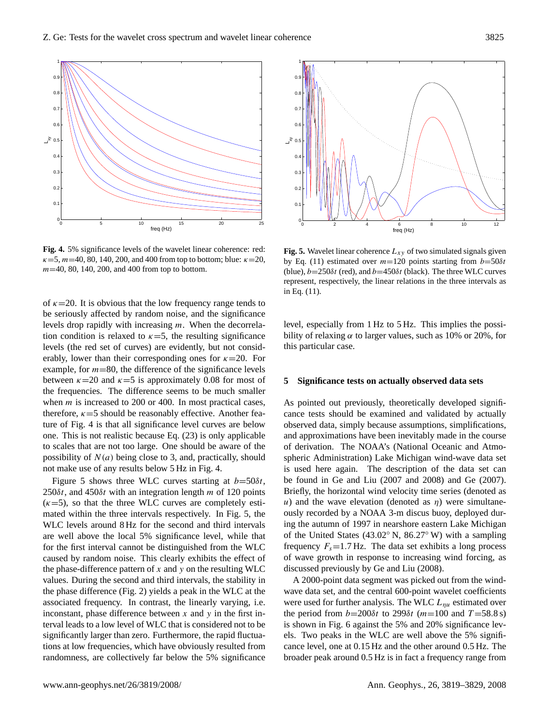

<span id="page-6-0"></span> $\kappa = 5$ ,  $m=40$ , 80, 140, 200, and 400 from top to bottom; blue:  $\kappa = 20$ , **Fig. 4.** 5% significance levels of the wavelet linear coherence: red:  $m=40, 80, 140, 200,$  and 400 from top to bottom.

of  $\kappa$ =20. It is obvious that the low frequency range tends to be seriously affected by random noise, and the significance levels drop rapidly with increasing m. When the decorrelation condition is relaxed to  $\kappa = 5$ , the resulting significance levels (the red set of curves) are evidently, but not considerably, lower than their corresponding ones for  $\kappa$ =20. For example, for  $m=80$ , the difference of the significance levels between  $\kappa$ =20 and  $\kappa$ =5 is approximately 0.08 for most of the frequencies. The difference seems to be much smaller when  $m$  is increased to 200 or 400. In most practical cases, therefore,  $\kappa = 5$  should be reasonably effective. Another feature of Fig. [4](#page-6-0) is that all significance level curves are below one. This is not realistic because Eq. [\(23\)](#page-5-5) is only applicable to scales that are not too large. One should be aware of the possibility of  $N(a)$  being close to 3, and, practically, should not make use of any results below 5 Hz in Fig. [4.](#page-6-0)

Figure [5](#page-6-1) shows three WLC curves starting at  $b=50\delta t$ , 250 $\delta t$ , and 450 $\delta t$  with an integration length m of 120 points  $(\kappa=5)$ , so that the three WLC curves are completely estimated within the three intervals respectively. In Fig. [5,](#page-6-1) the WLC levels around 8 Hz for the second and third intervals are well above the local 5% significance level, while that for the first interval cannot be distinguished from the WLC caused by random noise. This clearly exhibits the effect of the phase-difference pattern of  $x$  and  $y$  on the resulting WLC values. During the second and third intervals, the stability in the phase difference (Fig. [2\)](#page-4-1) yields a peak in the WLC at the associated frequency. In contrast, the linearly varying, i.e. inconstant, phase difference between x and y in the first interval leads to a low level of WLC that is considered not to be significantly larger than zero. Furthermore, the rapid fluctuations at low frequencies, which have obviously resulted from randomness, are collectively far below the 5% significance



<span id="page-6-1"></span>by Eq. [\(11\)](#page-2-3) estimated over  $m=120$  points starting from  $b=50\delta t$ in Eq. [\(11\)](#page-2-3). represent, respectively, the linear relations in the three intervals as **Fig. 5.** Wavelet linear coherence  $L_{xy}$  of two simulated signals given (blue),  $b=250\delta t$  (red), and  $b=450\delta t$  (black). The three WLC curves

this particular case. level, especially from 1 Hz to 5 Hz. This implies the possibility of relaxing  $\alpha$  to larger values, such as 10% or 20%, for

#### **5 Significance tests on actually observed data sets**

and approximations have been inevitably made in the course observed data, simply because assumptions, simplifications, As pointed out previously, theoretically developed signifiof derivation. The NOAA's (National Oceanic and Atmois used here again. The description of the data set can u) and the wave elevation (denoted as  $\eta$ ) were simultanecance tests should be examined and validated by actually spheric Administration) Lake Michigan wind-wave data set be found in Ge and Liu (2007 and 2008) and Ge (2007). Briefly, the horizontal wind velocity time series (denoted as ously recorded by a NOAA 3-m discus buoy, deployed during the autumn of 1997 in nearshore eastern Lake Michigan of the United States (43.02◦ N, 86.27◦ W) with a sampling frequency  $F_s = 1.7$  Hz. The data set exhibits a long process of wave growth in response to increasing wind forcing, as discussed previously by Ge and Liu (2008).

A 2000-point data segment was picked out from the windwave data set, and the central 600-point wavelet coefficients were used for further analysis. The WLC  $L_{nu}$  estimated over the period from  $b=200\delta t$  to 299 $\delta t$  ( $m=100$  and  $T=58.8$  s) is shown in Fig. [6](#page-7-0) against the 5% and 20% significance levels. Two peaks in the WLC are well above the 5% significance level, one at 0.15 Hz and the other around 0.5 Hz. The broader peak around 0.5 Hz is in fact a frequency range from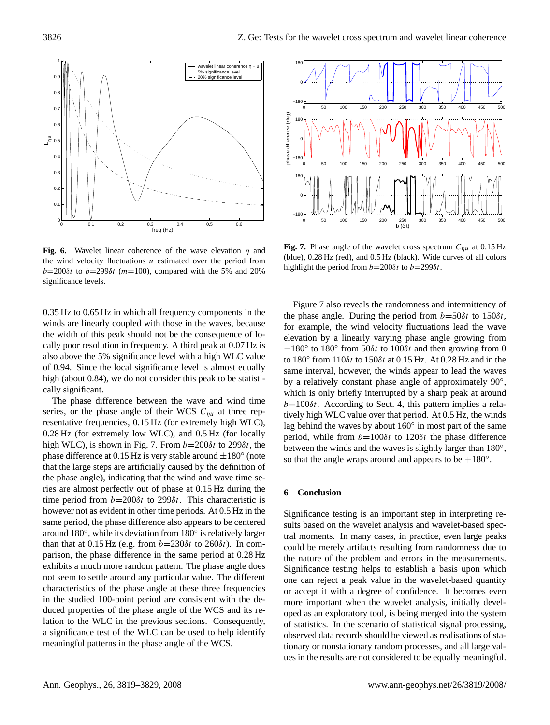

<span id="page-7-0"></span> $F = \frac{1}{2}$  for *Fig. 6.1* Fig. 6. Fig. 6. Fig. 6. Fig. 6. Fig. 6. Fig. 6. Fig. 6. Fig. 6. Fig. 6. Fig. 6. Fig. 6. Fig. 6. Fig. 6. Fig. 6. Fig. 6. Fig. 6. Fig. 6. Fig. 6. Fig. 6. Fig. 6. Fig. 6. Fig. 6. Fig. 6. Fig. 6. Fi **Fig. 6.** Wavelet linear coherence of the wave elevation  $\eta$  and  $b=200\delta t$  to  $b=299\delta t$  (m=100), compared with the 5% and 20% significance levels.

0.35 Hz to 0.65 Hz in which all frequency components in the winds are linearly coupled with those in the waves, because the width of this peak should not be the consequence of locally poor resolution in frequency. A third peak at 0.07 Hz is also above the 5% significance level with a high WLC value of 0.94. Since the local significance level is almost equally high (about 0.84), we do not consider this peak to be statistically significant.

The phase difference between the wave and wind time series, or the phase angle of their WCS  $C_{\eta u}$  at three representative frequencies, 0.15 Hz (for extremely high WLC), 0.28 Hz (for extremely low WLC), and 0.5 Hz (for locally high WLC), is shown in Fig. [7.](#page-7-1) From  $b=200\delta t$  to 299 $\delta t$ , the phase difference at 0.15 Hz is very stable around  $\pm 180^\circ$  (note that the large steps are artificially caused by the definition of the phase angle), indicating that the wind and wave time series are almost perfectly out of phase at 0.15 Hz during the time period from  $b=200\delta t$  to 299 $\delta t$ . This characteristic is however not as evident in other time periods. At 0.5 Hz in the same period, the phase difference also appears to be centered around 180◦ , while its deviation from 180◦ is relatively larger than that at 0.15 Hz (e.g. from  $b=230\delta t$  to 260 $\delta t$ ). In comparison, the phase difference in the same period at 0.28 Hz exhibits a much more random pattern. The phase angle does not seem to settle around any particular value. The different characteristics of the phase angle at these three frequencies in the studied 100-point period are consistent with the deduced properties of the phase angle of the WCS and its relation to the WLC in the previous sections. Consequently, a significance test of the WLC can be used to help identify meaningful patterns in the phase angle of the WCS.



<span id="page-7-1"></span> $F$ <sub>1,0</sub> (blue), 0.28 Hz (red), and 0.5 Hz (black). Wide curves of all colors **Fig. 7.** Phase angle of the wavelet cross spectrum  $C_{\eta u}$  at 0.15 Hz highlight the period from  $b=200\delta t$  to  $b=299\delta t$ .

period, while from  $b=100\delta t$  to  $120\delta t$  the phase difference tively high WLC value over that period. At 0.5 Hz, the winds which is only briefly interrupted by a sharp peak at around same interval, however, the winds appear to lead the waves  $-180^\circ$  to  $180^\circ$  from  $50\delta t$  to  $100\delta t$  and then growing from 0 for example, the wind velocity fluctuations lead the wave Figure [7](#page-7-1) also reveals the randomness and intermittency of between the winds and the waves is slightly larger than 180°, el<br>io<br>sa the phase angle. During the period from  $b=50\delta t$  to 150 $\delta t$ , elevation by a linearly varying phase angle growing from to  $180^\circ$  from  $110\delta t$  to  $150\delta t$  at 0.15 Hz. At 0.28 Hz and in the by a relatively constant phase angle of approximately 90°,  $b=100\delta t$ . According to Sect. [4,](#page-4-0) this pattern implies a relalag behind the waves by about 160° in most part of the same so that the angle wraps around and appears to be  $+180°$ .

### **6 Conclusion**

Significance testing is an important step in interpreting results based on the wavelet analysis and wavelet-based spectral moments. In many cases, in practice, even large peaks could be merely artifacts resulting from randomness due to the nature of the problem and errors in the measurements. Significance testing helps to establish a basis upon which one can reject a peak value in the wavelet-based quantity or accept it with a degree of confidence. It becomes even more important when the wavelet analysis, initially developed as an exploratory tool, is being merged into the system of statistics. In the scenario of statistical signal processing, observed data records should be viewed as realisations of stationary or nonstationary random processes, and all large values in the results are not considered to be equally meaningful.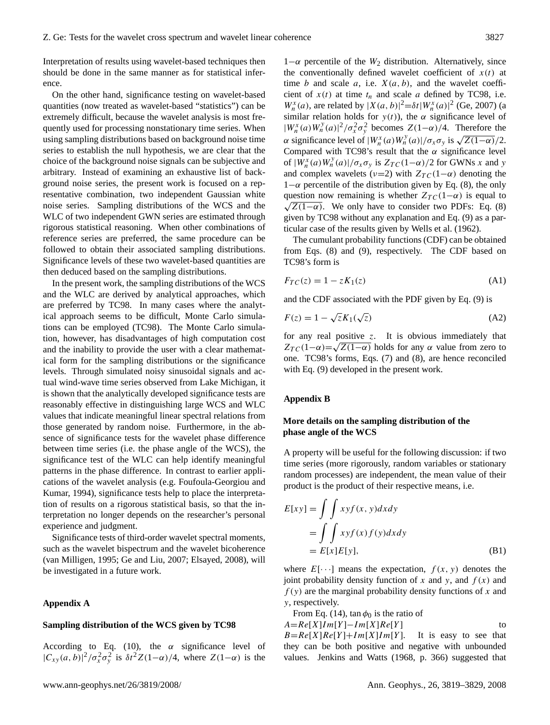Interpretation of results using wavelet-based techniques then should be done in the same manner as for statistical inference.

On the other hand, significance testing on wavelet-based quantities (now treated as wavelet-based "statistics") can be extremely difficult, because the wavelet analysis is most frequently used for processing nonstationary time series. When using sampling distributions based on background noise time series to establish the null hypothesis, we are clear that the choice of the background noise signals can be subjective and arbitrary. Instead of examining an exhaustive list of background noise series, the present work is focused on a representative combination, two independent Gaussian white noise series. Sampling distributions of the WCS and the WLC of two independent GWN series are estimated through rigorous statistical reasoning. When other combinations of reference series are preferred, the same procedure can be followed to obtain their associated sampling distributions. Significance levels of these two wavelet-based quantities are then deduced based on the sampling distributions.

In the present work, the sampling distributions of the WCS and the WLC are derived by analytical approaches, which are preferred by TC98. In many cases where the analytical approach seems to be difficult, Monte Carlo simulations can be employed (TC98). The Monte Carlo simulation, however, has disadvantages of high computation cost and the inability to provide the user with a clear mathematical form for the sampling distributions or the significance levels. Through simulated noisy sinusoidal signals and actual wind-wave time series observed from Lake Michigan, it is shown that the analytically developed significance tests are reasonably effective in distinguishing large WCS and WLC values that indicate meaningful linear spectral relations from those generated by random noise. Furthermore, in the absence of significance tests for the wavelet phase difference between time series (i.e. the phase angle of the WCS), the significance test of the WLC can help identify meaningful patterns in the phase difference. In contrast to earlier applications of the wavelet analysis (e.g. Foufoula-Georgiou and Kumar, 1994), significance tests help to place the interpretation of results on a rigorous statistical basis, so that the interpretation no longer depends on the researcher's personal experience and judgment.

Significance tests of third-order wavelet spectral moments, such as the wavelet bispectrum and the wavelet bicoherence (van Milligen, 1995; Ge and Liu, 2007; Elsayed, 2008), will be investigated in a future work.

#### **Appendix A**

#### **Sampling distribution of the WCS given by TC98**

According to Eq. [\(10\)](#page-2-1), the  $\alpha$  significance level of  $|C_{xy}(a, b)|^2 / \sigma_x^2 \sigma_y^2$  is  $\delta t^2 Z(1-\alpha)/4$ , where  $Z(1-\alpha)$  is the

 $1-\alpha$  percentile of the  $W_2$  distribution. Alternatively, since the conventionally defined wavelet coefficient of  $x(t)$  at time b and scale a, i.e.  $X(a, b)$ , and the wavelet coefficient of  $x(t)$  at time  $t_n$  and scale a defined by TC98, i.e.  $W_n^x(a)$ , are related by  $|X(a, b)|^2 = \delta t |W_n^x(a)|^2$  (Ge, 2007) (a similar relation holds for  $y(t)$ ), the  $\alpha$  significance level of  $|W_n^x(a)W_n^y(a)|^2/\sigma_x^2 \sigma_y^2$  becomes  $Z(1-\alpha)/4$ . Therefore the  $\alpha$  significance level of  $|W_n^x(a)W_n^y(a)|/\sigma_x\sigma_y$  is  $\sqrt{Z(1-\alpha)}/2$ . Compared with TC98's result that the  $\alpha$  significance level of  $|\tilde{W}_n^x(a)W_n^y(a)|/\sigma_x\sigma_y$  is  $Z_{TC}(1-\alpha)/2$  for GWNs x and y and complex wavelets ( $\nu=2$ ) with  $Z_{TC}(1-\alpha)$  denoting the  $1-\alpha$  percentile of the distribution given by Eq. [\(8\)](#page-2-2), the only question now remaining is whether  $Z_{TC}(1-\alpha)$  is equal to  $\sqrt{Z(1-\alpha)}$ . We only have to consider two PDFs: Eq. [\(8\)](#page-2-2) given by TC98 without any explanation and Eq. [\(9\)](#page-2-5) as a particular case of the results given by Wells et al. (1962).

The cumulant probability functions (CDF) can be obtained from Eqs. [\(8\)](#page-2-2) and [\(9\)](#page-2-5), respectively. The CDF based on TC98's form is

$$
F_{TC}(z) = 1 - zK_1(z)
$$
\n(A1)

and the CDF associated with the PDF given by Eq. [\(9\)](#page-2-5) is

$$
F(z) = 1 - \sqrt{z} K_1(\sqrt{z})
$$
 (A2)

for any real positive z. It is obvious immediately that  $Z_{TC}(1-\alpha) = \sqrt{Z(1-\alpha)}$  holds for any  $\alpha$  value from zero to one. TC98's forms, Eqs. [\(7\)](#page-2-0) and [\(8\)](#page-2-2), are hence reconciled with Eq. [\(9\)](#page-2-5) developed in the present work.

#### **Appendix B**

## **More details on the sampling distribution of the phase angle of the WCS**

A property will be useful for the following discussion: if two time series (more rigorously, random variables or stationary random processes) are independent, the mean value of their product is the product of their respective means, i.e.

<span id="page-8-0"></span>
$$
E[xy] = \int \int xyf(x, y)dxdy
$$
  
= 
$$
\int \int xyf(x)f(y)dxdy
$$
  
= 
$$
E[x]E[y],
$$
 (B1)

where  $E[\cdots]$  means the expectation,  $f(x, y)$  denotes the joint probability density function of x and y, and  $f(x)$  and  $f(y)$  are the marginal probability density functions of x and y, respectively.

From Eq. [\(14\)](#page-3-2), tan  $\phi_0$  is the ratio of

$$
A = Re[X]Im[Y] - Im[X]Re[Y]
$$
 to  
 
$$
B = Re[X]Re[Y] + Im[X]Im[Y].
$$
 It is easy to see that  
they can be both positive and negative with unbounded

values. Jenkins and Watts (1968, p. 366) suggested that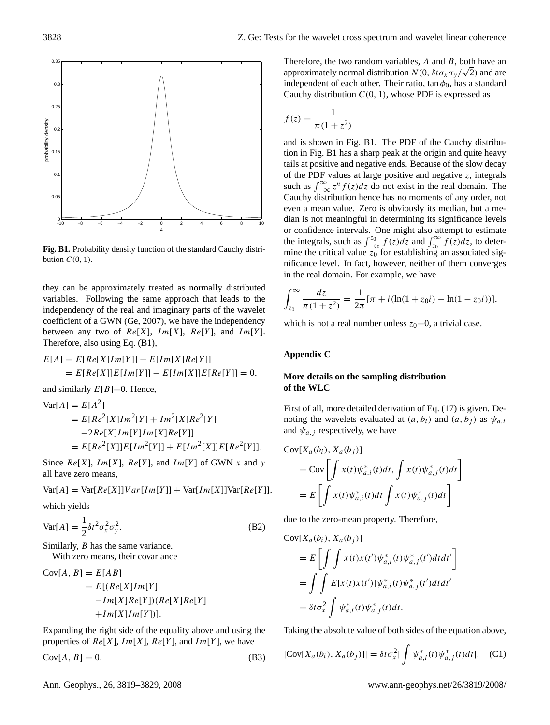

<span id="page-9-0"></span>**Fig. B1.** Probability density function of the standard Cauchy distribution  $C(0, 1)$ bution  $C(0, 1)$ .

they can be approximately treated as normally distributed variables. Following the same approach that leads to the independency of the real and imaginary parts of the wavelet coefficient of a GWN (Ge, 2007), we have the independency between any two of  $Re[X]$ ,  $Im[X]$ ,  $Re[Y]$ , and  $Im[Y]$ . Therefore, also using Eq. [\(B1\)](#page-8-0),

$$
E[A] = E[Re[X]Im[Y]] - E[Im[X]Re[Y]]
$$
  
= 
$$
E[Re[X]]E[Im[Y]] - E[Im[X]]E[Re[Y]] = 0,
$$

and similarly  $E[B]=0$ . Hence,

$$
\begin{aligned} \text{Var}[A] &= E[A^2] \\ &= E[Re^2[X]Im^2[Y] + Im^2[X]Re^2[Y] \\ &- 2Re[X]Im[Y]Im[X]Re[Y]] \\ &= E[Re^2[X]]E[Im^2[Y]] + E[Im^2[X]]E[Re^2[Y]]. \end{aligned}
$$

Since  $Re[X]$ , Im[X],  $Re[Y]$ , and Im[Y] of GWN x and y all have zero means,

 $Var[A] = Var[Re[X]]Var[Im[Y]] + Var[Im[X]]Var[Re[Y]],$ 

which yields

$$
Var[A] = \frac{1}{2} \delta t^2 \sigma_x^2 \sigma_y^2.
$$
 (B2)

Similarly, B has the same variance. With zero means, their covariance

$$
Cov[A, B] = E[AB]
$$
  
=  $E[(Re[X]Im[Y]$   

$$
-Im[X]Re[Y])(Re[X]Re[Y]
$$
  
+
$$
Im[X]Im[Y])].
$$

Expanding the right side of the equality above and using the properties of  $Re[X]$ ,  $Im[X]$ ,  $Re[Y]$ , and  $Im[Y]$ , we have

$$
Cov[A, B] = 0. \tag{B3}
$$

Therefore, the two random variables, A and B, both have an approximately normal distribution  $N(0, \delta t \sigma_x \sigma_y / \sqrt{2})$  and are independent of each other. Their ratio, tan  $\phi_0$ , has a standard Cauchy distribution  $C(0, 1)$ , whose PDF is expressed as

$$
f(z) = \frac{1}{\pi(1+z^2)}
$$

and is shown in Fig. [B1.](#page-9-0) The PDF of the Cauchy distribution in Fig. [B1](#page-9-0) has a sharp peak at the origin and quite heavy tails at positive and negative ends. Because of the slow decay of the PDF values at large positive and negative  $z$ , integrals such as  $\int_{-\infty}^{\infty} z^n f(z) dz$  do not exist in the real domain. The Cauchy distribution hence has no moments of any order, not even a mean value. Zero is obviously its median, but a median is not meaningful in determining its significance levels or confidence intervals. One might also attempt to estimate the integrals, such as  $\int_{-z_0}^{z_0} f(z)dz$  and  $\int_{z_0}^{\infty} f(z)dz$ , to determine the critical value  $z_0$  for establishing an associated significance level. In fact, however, neither of them converges in the real domain. For example, we have

$$
\int_{z_0}^{\infty} \frac{dz}{\pi(1+z^2)} = \frac{1}{2\pi} [\pi + i(\ln(1+z_0 i) - \ln(1-z_0 i))],
$$

which is not a real number unless  $z_0=0$ , a trivial case.

## **Appendix C**

## **More details on the sampling distribution of the WLC**

First of all, more detailed derivation of Eq. [\(17\)](#page-4-3) is given. Denoting the wavelets evaluated at  $(a, b_i)$  and  $(a, b_j)$  as  $\psi_{a,i}$ and  $\psi_{a,j}$  respectively, we have

$$
Cov[X_a(b_i), X_a(b_j)]
$$
  
= Cov  $\left[\int x(t)\psi_{a,i}^*(t)dt, \int x(t)\psi_{a,j}^*(t)dt\right]$   
=  $E\left[\int x(t)\psi_{a,i}^*(t)dt \int x(t)\psi_{a,j}^*(t)dt\right]$ 

due to the zero-mean property. Therefore,

$$
Cov[X_a(b_i), X_a(b_j)]
$$
  
=  $E\left[\int \int x(t)x(t')\psi_{a,i}^*(t)\psi_{a,j}^*(t')dt dt'\right]$   
=  $\int \int E[x(t)x(t')] \psi_{a,i}^*(t)\psi_{a,j}^*(t')dt dt'$   
=  $\delta t \sigma_x^2 \int \psi_{a,i}^*(t)\psi_{a,j}^*(t)dt.$ 

Taking the absolute value of both sides of the equation above,

<span id="page-9-1"></span>
$$
|\text{Cov}[X_a(b_i), X_a(b_j)]| = \delta t \sigma_x^2 |\int \psi_{a,i}^*(t) \psi_{a,j}^*(t) dt|. \quad (C1)
$$

Ann. Geophys., 26, 3819[–3829,](#page-0-0) 2008 www.ann-geophys.net/26/3819/2008/